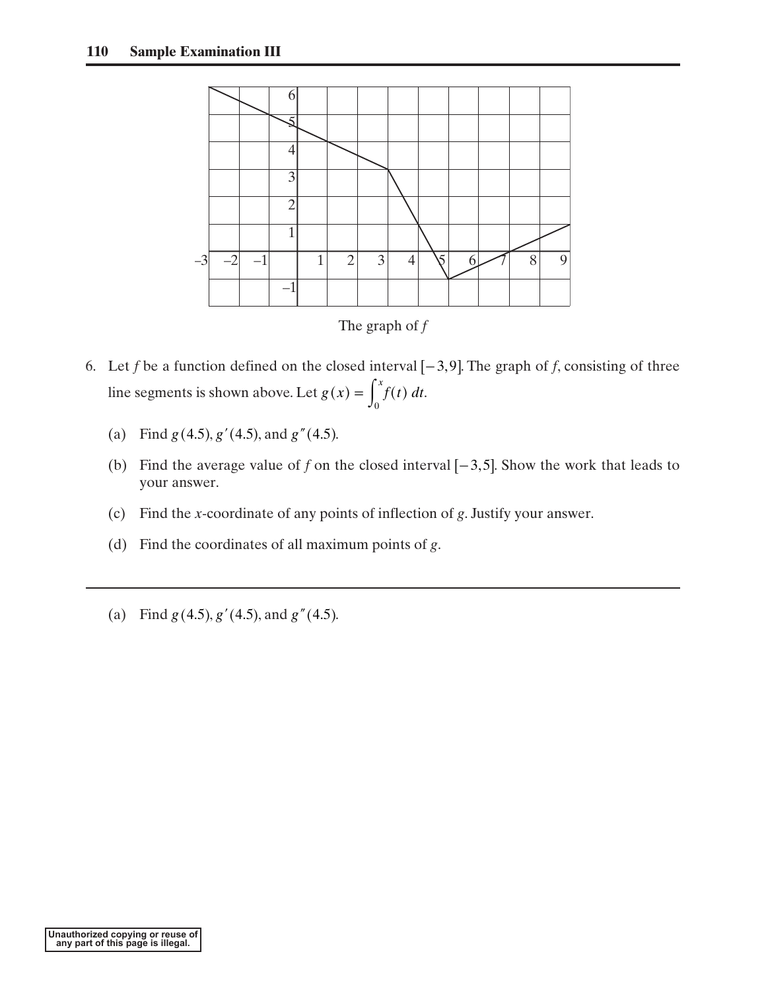



- 6. Let *f* be a function defined on the closed interval  $[-3, 9]$ . The graph of *f*, consisting of three line segments is shown above. Let  $g(x) = \int f(t) dt$ . The graph of *j*<br>
closed interval  $g(x) = \int_0^x f(t) dt$ closed intervalues  $f(x) = \int_0^x f(t)$ 
	- (a) Find  $g(4.5)$ ,  $g'(4.5)$ , and  $g''(4.5)$ .  $g(4.5)$ ,  $g'(4.5)$ , and  $g''(4.5)$
	- (b) Find the average value of *f* on the closed interval  $[-3,5]$ . Show the work that leads to your answer.
	- (c) Find the *x*-coordinate of any points of inflection of *g*. Justify your answer.
	- (d) Find the coordinates of all maximum points of *g*.
	- (a) Find  $g(4.5)$ ,  $g'(4.5)$ , and  $g''(4.5)$ .  $g(4.5)$ ,  $g'(4.5)$ , and  $g''(4.5)$